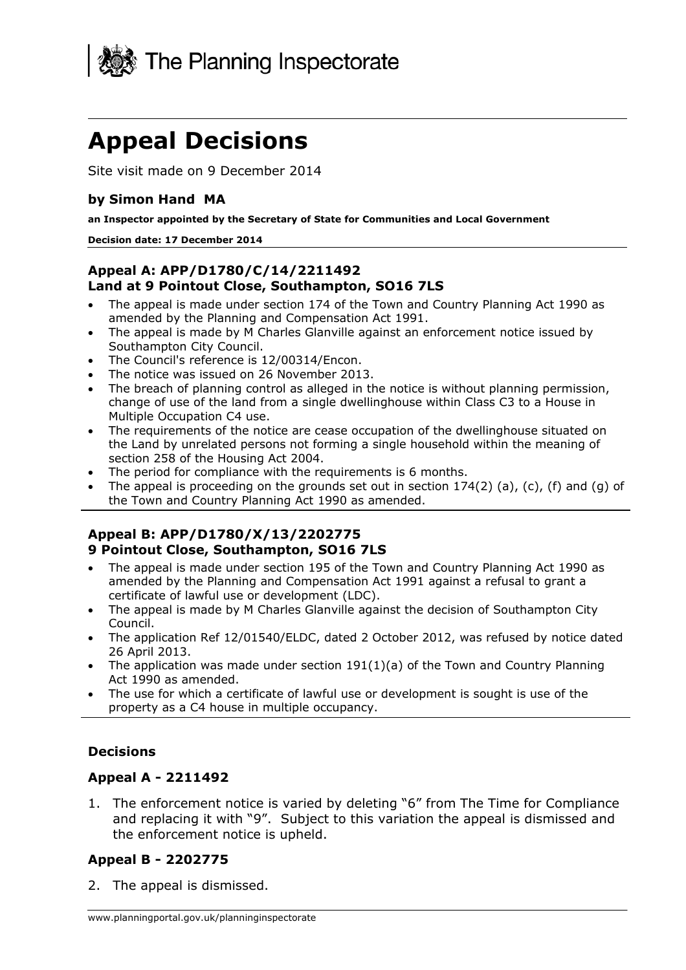

# **Appeal Decisions**

Site visit made on 9 December 2014

#### **by Simon Hand MA**

**an Inspector appointed by the Secretary of State for Communities and Local Government** 

#### **Decision date: 17 December 2014**

#### **Appeal A: APP/D1780/C/14/2211492 Land at 9 Pointout Close, Southampton, SO16 7LS**

- The appeal is made under section 174 of the Town and Country Planning Act 1990 as amended by the Planning and Compensation Act 1991.
- The appeal is made by M Charles Glanville against an enforcement notice issued by Southampton City Council.
- The Council's reference is 12/00314/Encon.
- The notice was issued on 26 November 2013.
- The breach of planning control as alleged in the notice is without planning permission, change of use of the land from a single dwellinghouse within Class C3 to a House in Multiple Occupation C4 use.
- The requirements of the notice are cease occupation of the dwellinghouse situated on the Land by unrelated persons not forming a single household within the meaning of section 258 of the Housing Act 2004.
- The period for compliance with the requirements is 6 months.
- The appeal is proceeding on the grounds set out in section  $174(2)$  (a), (c), (f) and (g) of the Town and Country Planning Act 1990 as amended.

#### **Appeal B: APP/D1780/X/13/2202775 9 Pointout Close, Southampton, SO16 7LS**

- The appeal is made under section 195 of the Town and Country Planning Act 1990 as amended by the Planning and Compensation Act 1991 against a refusal to grant a certificate of lawful use or development (LDC).
- The appeal is made by M Charles Glanville against the decision of Southampton City Council.
- The application Ref 12/01540/ELDC, dated 2 October 2012, was refused by notice dated 26 April 2013.
- The application was made under section  $191(1)(a)$  of the Town and Country Planning Act 1990 as amended.
- The use for which a certificate of lawful use or development is sought is use of the property as a C4 house in multiple occupancy.

#### **Decisions**

#### **Appeal A - 2211492**

1. The enforcement notice is varied by deleting "6" from The Time for Compliance and replacing it with "9". Subject to this variation the appeal is dismissed and the enforcement notice is upheld.

#### **Appeal B - 2202775**

2. The appeal is dismissed.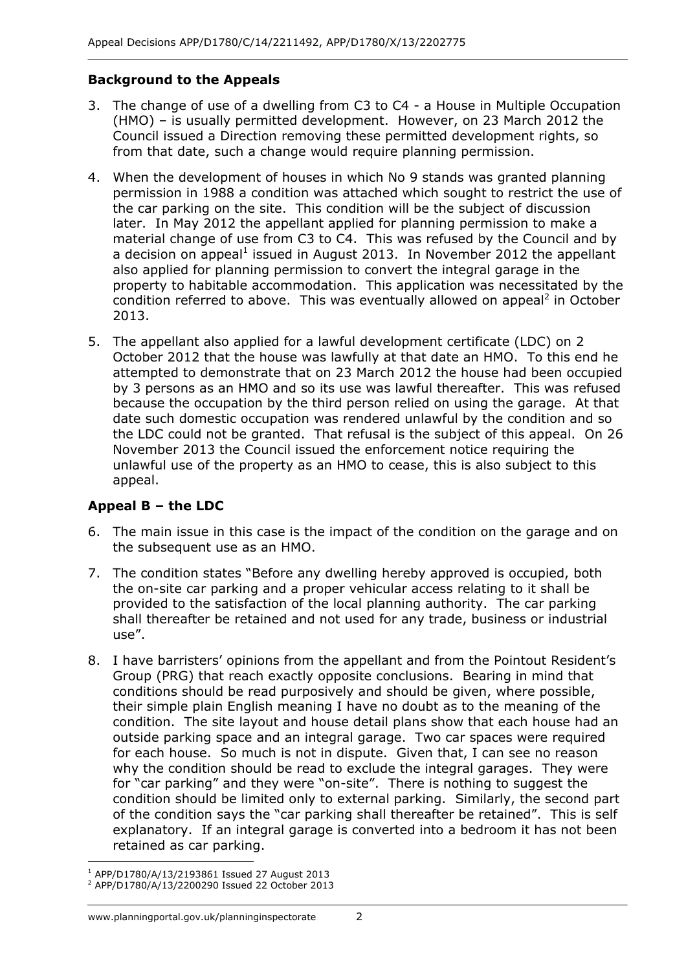#### **Background to the Appeals**

- 3. The change of use of a dwelling from C3 to C4 a House in Multiple Occupation (HMO) – is usually permitted development. However, on 23 March 2012 the Council issued a Direction removing these permitted development rights, so from that date, such a change would require planning permission.
- 4. When the development of houses in which No 9 stands was granted planning permission in 1988 a condition was attached which sought to restrict the use of the car parking on the site. This condition will be the subject of discussion later. In May 2012 the appellant applied for planning permission to make a material change of use from C3 to C4. This was refused by the Council and by a decision on appeal<sup>1</sup> issued in August 2013. In November 2012 the appellant also applied for planning permission to convert the integral garage in the property to habitable accommodation. This application was necessitated by the condition referred to above. This was eventually allowed on appeal<sup>2</sup> in October 2013.
- 5. The appellant also applied for a lawful development certificate (LDC) on 2 October 2012 that the house was lawfully at that date an HMO. To this end he attempted to demonstrate that on 23 March 2012 the house had been occupied by 3 persons as an HMO and so its use was lawful thereafter. This was refused because the occupation by the third person relied on using the garage. At that date such domestic occupation was rendered unlawful by the condition and so the LDC could not be granted. That refusal is the subject of this appeal. On 26 November 2013 the Council issued the enforcement notice requiring the unlawful use of the property as an HMO to cease, this is also subject to this appeal.

#### **Appeal B – the LDC**

- 6. The main issue in this case is the impact of the condition on the garage and on the subsequent use as an HMO.
- 7. The condition states "Before any dwelling hereby approved is occupied, both the on-site car parking and a proper vehicular access relating to it shall be provided to the satisfaction of the local planning authority. The car parking shall thereafter be retained and not used for any trade, business or industrial use".
- 8. I have barristers' opinions from the appellant and from the Pointout Resident's Group (PRG) that reach exactly opposite conclusions. Bearing in mind that conditions should be read purposively and should be given, where possible, their simple plain English meaning I have no doubt as to the meaning of the condition. The site layout and house detail plans show that each house had an outside parking space and an integral garage. Two car spaces were required for each house. So much is not in dispute. Given that, I can see no reason why the condition should be read to exclude the integral garages. They were for "car parking" and they were "on-site". There is nothing to suggest the condition should be limited only to external parking. Similarly, the second part of the condition says the "car parking shall thereafter be retained". This is self explanatory. If an integral garage is converted into a bedroom it has not been retained as car parking.

<sup>-</sup>1 APP/D1780/A/13/2193861 Issued 27 August 2013

<sup>2</sup> APP/D1780/A/13/2200290 Issued 22 October 2013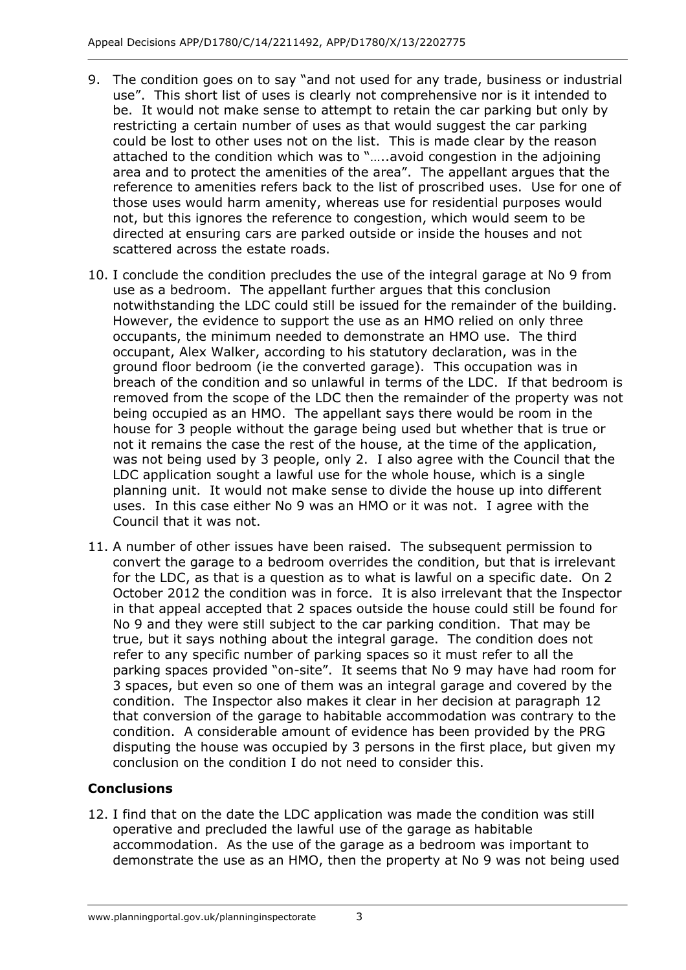- 9. The condition goes on to say "and not used for any trade, business or industrial use". This short list of uses is clearly not comprehensive nor is it intended to be. It would not make sense to attempt to retain the car parking but only by restricting a certain number of uses as that would suggest the car parking could be lost to other uses not on the list. This is made clear by the reason attached to the condition which was to "…..avoid congestion in the adjoining area and to protect the amenities of the area". The appellant argues that the reference to amenities refers back to the list of proscribed uses. Use for one of those uses would harm amenity, whereas use for residential purposes would not, but this ignores the reference to congestion, which would seem to be directed at ensuring cars are parked outside or inside the houses and not scattered across the estate roads.
- 10. I conclude the condition precludes the use of the integral garage at No 9 from use as a bedroom. The appellant further argues that this conclusion notwithstanding the LDC could still be issued for the remainder of the building. However, the evidence to support the use as an HMO relied on only three occupants, the minimum needed to demonstrate an HMO use. The third occupant, Alex Walker, according to his statutory declaration, was in the ground floor bedroom (ie the converted garage). This occupation was in breach of the condition and so unlawful in terms of the LDC. If that bedroom is removed from the scope of the LDC then the remainder of the property was not being occupied as an HMO. The appellant says there would be room in the house for 3 people without the garage being used but whether that is true or not it remains the case the rest of the house, at the time of the application, was not being used by 3 people, only 2. I also agree with the Council that the LDC application sought a lawful use for the whole house, which is a single planning unit. It would not make sense to divide the house up into different uses. In this case either No 9 was an HMO or it was not. I agree with the Council that it was not.
- 11. A number of other issues have been raised. The subsequent permission to convert the garage to a bedroom overrides the condition, but that is irrelevant for the LDC, as that is a question as to what is lawful on a specific date. On 2 October 2012 the condition was in force. It is also irrelevant that the Inspector in that appeal accepted that 2 spaces outside the house could still be found for No 9 and they were still subject to the car parking condition. That may be true, but it says nothing about the integral garage. The condition does not refer to any specific number of parking spaces so it must refer to all the parking spaces provided "on-site". It seems that No 9 may have had room for 3 spaces, but even so one of them was an integral garage and covered by the condition. The Inspector also makes it clear in her decision at paragraph 12 that conversion of the garage to habitable accommodation was contrary to the condition. A considerable amount of evidence has been provided by the PRG disputing the house was occupied by 3 persons in the first place, but given my conclusion on the condition I do not need to consider this.

## **Conclusions**

12. I find that on the date the LDC application was made the condition was still operative and precluded the lawful use of the garage as habitable accommodation. As the use of the garage as a bedroom was important to demonstrate the use as an HMO, then the property at No 9 was not being used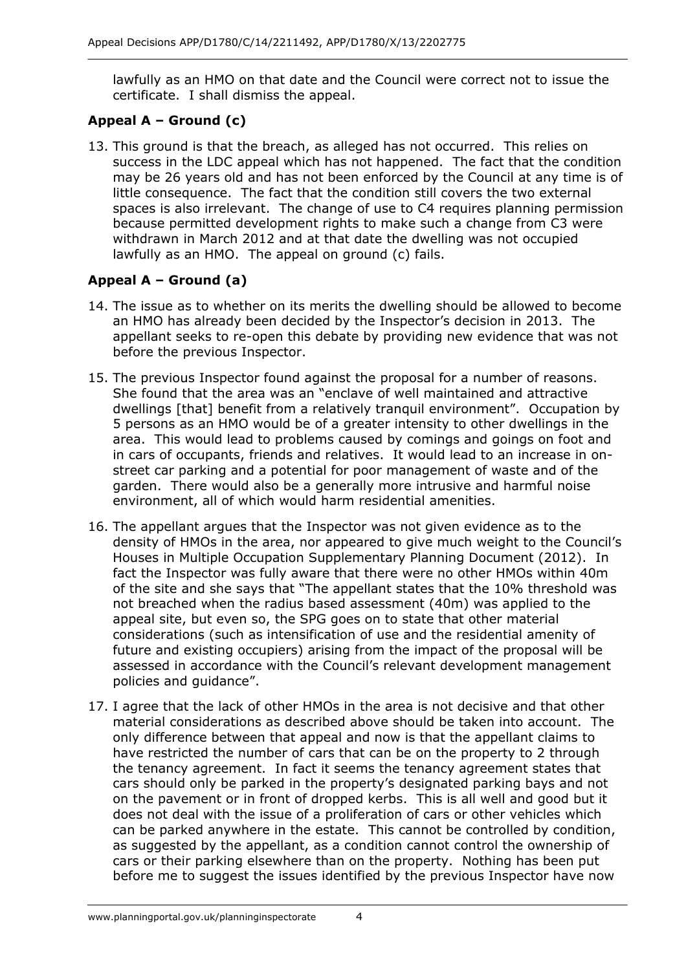lawfully as an HMO on that date and the Council were correct not to issue the certificate. I shall dismiss the appeal.

## **Appeal A – Ground (c)**

13. This ground is that the breach, as alleged has not occurred. This relies on success in the LDC appeal which has not happened. The fact that the condition may be 26 years old and has not been enforced by the Council at any time is of little consequence. The fact that the condition still covers the two external spaces is also irrelevant. The change of use to C4 requires planning permission because permitted development rights to make such a change from C3 were withdrawn in March 2012 and at that date the dwelling was not occupied lawfully as an HMO. The appeal on ground (c) fails.

## **Appeal A – Ground (a)**

- 14. The issue as to whether on its merits the dwelling should be allowed to become an HMO has already been decided by the Inspector's decision in 2013. The appellant seeks to re-open this debate by providing new evidence that was not before the previous Inspector.
- 15. The previous Inspector found against the proposal for a number of reasons. She found that the area was an "enclave of well maintained and attractive dwellings [that] benefit from a relatively tranquil environment". Occupation by 5 persons as an HMO would be of a greater intensity to other dwellings in the area. This would lead to problems caused by comings and goings on foot and in cars of occupants, friends and relatives. It would lead to an increase in onstreet car parking and a potential for poor management of waste and of the garden. There would also be a generally more intrusive and harmful noise environment, all of which would harm residential amenities.
- 16. The appellant argues that the Inspector was not given evidence as to the density of HMOs in the area, nor appeared to give much weight to the Council's Houses in Multiple Occupation Supplementary Planning Document (2012). In fact the Inspector was fully aware that there were no other HMOs within 40m of the site and she says that "The appellant states that the 10% threshold was not breached when the radius based assessment (40m) was applied to the appeal site, but even so, the SPG goes on to state that other material considerations (such as intensification of use and the residential amenity of future and existing occupiers) arising from the impact of the proposal will be assessed in accordance with the Council's relevant development management policies and guidance".
- 17. I agree that the lack of other HMOs in the area is not decisive and that other material considerations as described above should be taken into account. The only difference between that appeal and now is that the appellant claims to have restricted the number of cars that can be on the property to 2 through the tenancy agreement. In fact it seems the tenancy agreement states that cars should only be parked in the property's designated parking bays and not on the pavement or in front of dropped kerbs. This is all well and good but it does not deal with the issue of a proliferation of cars or other vehicles which can be parked anywhere in the estate. This cannot be controlled by condition, as suggested by the appellant, as a condition cannot control the ownership of cars or their parking elsewhere than on the property. Nothing has been put before me to suggest the issues identified by the previous Inspector have now